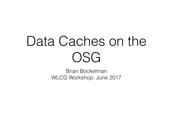#### Data Caches on the OSG

Brian Bockelman WLCG Workshop, June 2017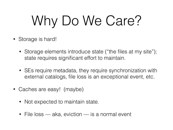# Why Do We Care?

- Storage is hard!
	- Storage elements introduce state ("the files at my site"); state requires significant effort to maintain.
	- SEs require metadata, they require synchronization with external catalogs, file loss is an exceptional event, etc.
- Caches are easy! (maybe)
	- Not expected to maintain state.
	- File loss aka, eviction is a normal event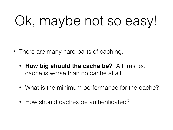## Ok, maybe not so easy!

- There are many hard parts of caching:
	- **How big should the cache be?** A thrashed cache is worse than no cache at all!
	- What is the minimum performance for the cache?
	- How should caches be authenticated?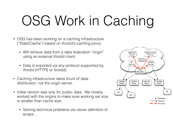## OSG Work in Caching

- OSG has been working on a caching infrastructure ("StashCache") based on Xrootd's caching proxy.
	- Will retrieve data from a data federation "origin" using an external Xrootd client.
	- Data is exported via any protocol supported by Xrootd (HTTPS or Xrootd).
- Caching infrastructure takes brunt of data distribution, not the origin server.
- Initial version was only for public data. We closely worked with the origins to make sure working set size is smaller than cache size.
	- Solving technical problems via clever definition of scope…

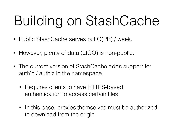# Building on StashCache

- Public StashCache serves out O(PB) / week.
- However, plenty of data (LIGO) is non-public.
- The current version of StashCache adds support for auth'n / auth'z in the namespace.
	- Requires clients to have HTTPS-based authentication to access certain files.
	- In this case, proxies themselves must be authorized to download from the origin.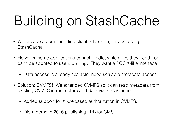# Building on StashCache

- We provide a command-line client, stashcp, for accessing StashCache.
- However, some applications cannot predict which files they need or can't be adopted to use stashcp. They want a POSIX-like interface!
	- Data access is already scalable: need scalable metadata access.
- Solution: CVMFS! We extended CVMFS so it can read metadata from existing CVMFS infrastructure and data via StashCache.
	- Added support for X509-based authorization in CVMFS.
	- Did a demo in 2016 publishing 1PB for CMS.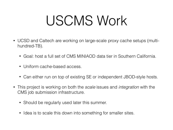#### USCMS Work

- UCSD and Caltech are working on large-scale proxy cache setups (multihundred-TB).
	- Goal: host a full set of CMS MINIAOD data tier in Southern California.
	- Uniform cache-based access.
	- Can either run on top of existing SE or independent JBOD-style hosts.
- This project is working on both the *scale* issues and *integration* with the CMS job submission infrastructure.
	- Should be regularly used later this summer.
	- Idea is to scale this down into something for smaller sites.